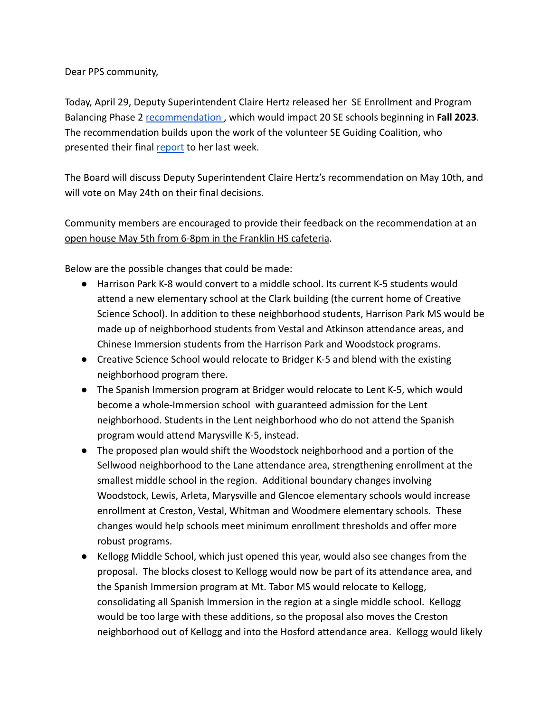## Dear PPS community,

Today, April 29, Deputy Superintendent Claire Hertz released her SE Enrollment and Program Balancing Phase 2 [recommendation](https://drive.google.com/file/d/18fmSn4fhwtd81vKyW9lX1g4TFxBhuUEE/view?usp=sharing), which would impact 20 SE schools beginning in **Fall 2023**. The recommendation builds upon the work of the volunteer SE Guiding Coalition, who presented their final [report](https://drive.google.com/file/d/1Q3149xpjD8-iIDXYrqZQljVCSKj9-1_V/view) to her last week.

The Board will discuss Deputy Superintendent Claire Hertz's recommendation on May 10th, and will vote on May 24th on their final decisions.

Community members are encouraged to provide their feedback on the recommendation at an open house May 5th from 6-8pm in the Franklin HS cafeteria.

Below are the possible changes that could be made:

- Harrison Park K-8 would convert to a middle school. Its current K-5 students would attend a new elementary school at the Clark building (the current home of Creative Science School). In addition to these neighborhood students, Harrison Park MS would be made up of neighborhood students from Vestal and Atkinson attendance areas, and Chinese Immersion students from the Harrison Park and Woodstock programs.
- Creative Science School would relocate to Bridger K-5 and blend with the existing neighborhood program there.
- The Spanish Immersion program at Bridger would relocate to Lent K-5, which would become a whole-Immersion school with guaranteed admission for the Lent neighborhood. Students in the Lent neighborhood who do not attend the Spanish program would attend Marysville K-5, instead.
- The proposed plan would shift the Woodstock neighborhood and a portion of the Sellwood neighborhood to the Lane attendance area, strengthening enrollment at the smallest middle school in the region. Additional boundary changes involving Woodstock, Lewis, Arleta, Marysville and Glencoe elementary schools would increase enrollment at Creston, Vestal, Whitman and Woodmere elementary schools. These changes would help schools meet minimum enrollment thresholds and offer more robust programs.
- Kellogg Middle School, which just opened this year, would also see changes from the proposal. The blocks closest to Kellogg would now be part of its attendance area, and the Spanish Immersion program at Mt. Tabor MS would relocate to Kellogg, consolidating all Spanish Immersion in the region at a single middle school. Kellogg would be too large with these additions, so the proposal also moves the Creston neighborhood out of Kellogg and into the Hosford attendance area. Kellogg would likely